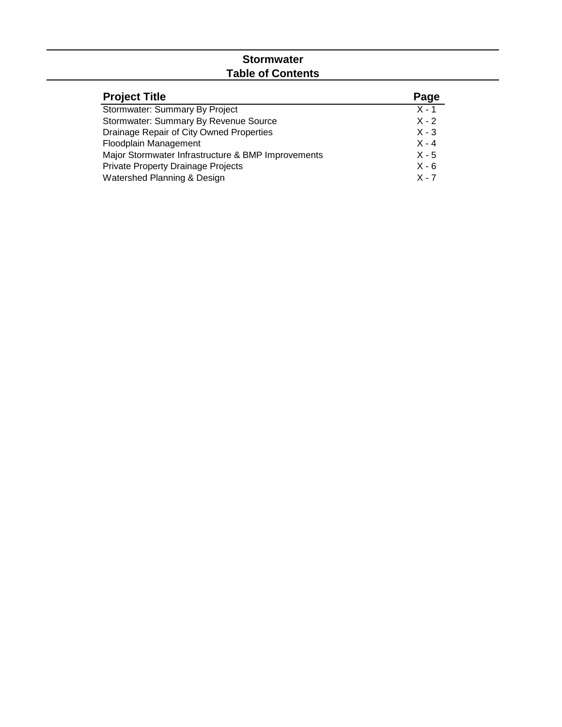# **Stormwater Table of Contents**

| <b>Project Title</b>                               | Page    |
|----------------------------------------------------|---------|
| Stormwater: Summary By Project                     | $X - 1$ |
| Stormwater: Summary By Revenue Source              | $X - 2$ |
| Drainage Repair of City Owned Properties           | $X - 3$ |
| Floodplain Management                              | $X - 4$ |
| Major Stormwater Infrastructure & BMP Improvements | $X - 5$ |
| <b>Private Property Drainage Projects</b>          | $X - 6$ |
| Watershed Planning & Design                        | $X - 7$ |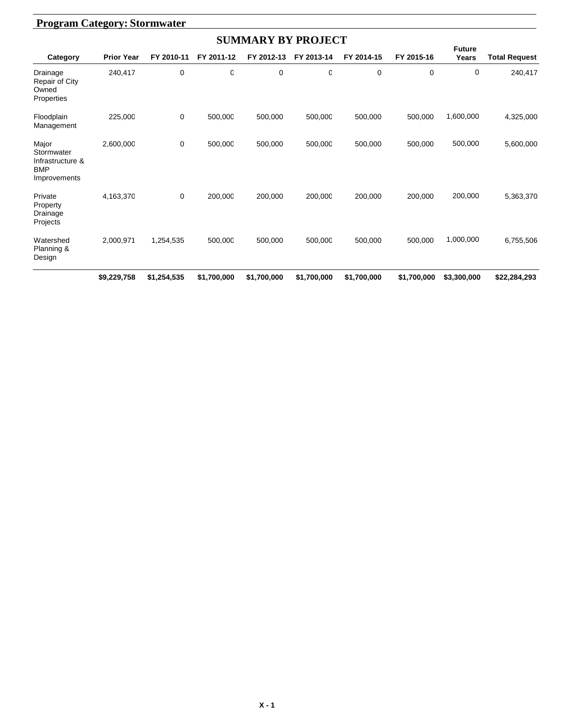|                                                                       | <b>Program Category: Stormwater</b> |             |             |             |             |             |             |                        |                      |  |  |  |  |  |
|-----------------------------------------------------------------------|-------------------------------------|-------------|-------------|-------------|-------------|-------------|-------------|------------------------|----------------------|--|--|--|--|--|
|                                                                       | <b>SUMMARY BY PROJECT</b>           |             |             |             |             |             |             |                        |                      |  |  |  |  |  |
| Category                                                              | <b>Prior Year</b>                   | FY 2010-11  | FY 2011-12  | FY 2012-13  | FY 2013-14  | FY 2014-15  | FY 2015-16  | <b>Future</b><br>Years | <b>Total Request</b> |  |  |  |  |  |
| Drainage<br>Repair of City<br>Owned<br>Properties                     | 240,417                             | 0           | 0           | $\mathbf 0$ | 0           | 0           | 0           | 0                      | 240,417              |  |  |  |  |  |
| Floodplain<br>Management                                              | 225,000                             | 0           | 500,000     | 500,000     | 500,000     | 500,000     | 500,000     | 1,600,000              | 4,325,000            |  |  |  |  |  |
| Major<br>Stormwater<br>Infrastructure &<br><b>BMP</b><br>Improvements | 2,600,000                           | 0           | 500,000     | 500,000     | 500,000     | 500,000     | 500,000     | 500,000                | 5,600,000            |  |  |  |  |  |
| Private<br>Property<br>Drainage<br>Projects                           | 4,163,370                           | 0           | 200,000     | 200,000     | 200,000     | 200,000     | 200,000     | 200,000                | 5,363,370            |  |  |  |  |  |
| Watershed<br>Planning &<br>Design                                     | 2,000,971                           | 1,254,535   | 500,000     | 500,000     | 500,000     | 500,000     | 500,000     | 1,000,000              | 6,755,506            |  |  |  |  |  |
|                                                                       | \$9,229,758                         | \$1,254,535 | \$1,700,000 | \$1,700,000 | \$1,700,000 | \$1,700,000 | \$1,700,000 | \$3,300,000            | \$22,284,293         |  |  |  |  |  |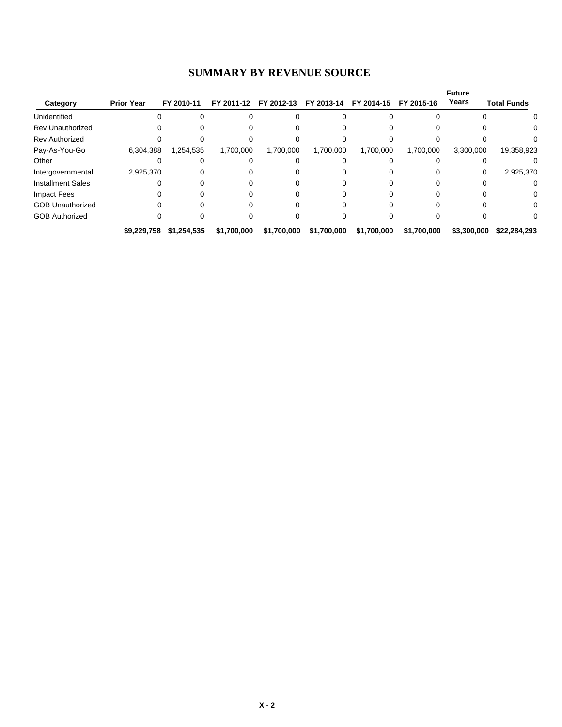#### **SUMMARY BY REVENUE SOURCE**

|                          |                   |             |             |                       |             |             |             | <b>Future</b> |                    |
|--------------------------|-------------------|-------------|-------------|-----------------------|-------------|-------------|-------------|---------------|--------------------|
| Category                 | <b>Prior Year</b> | FY 2010-11  |             | FY 2011-12 FY 2012-13 | FY 2013-14  | FY 2014-15  | FY 2015-16  | Years         | <b>Total Funds</b> |
| Unidentified             |                   |             |             |                       |             |             |             |               | $\Omega$           |
| <b>Rev Unauthorized</b>  |                   |             |             |                       |             |             |             |               |                    |
| <b>Rev Authorized</b>    |                   |             |             |                       |             |             |             |               |                    |
| Pay-As-You-Go            | 6,304,388         | 1,254,535   | 1,700,000   | 1,700,000             | 1,700,000   | 1,700,000   | 1,700,000   | 3,300,000     | 19,358,923         |
| Other                    |                   |             |             |                       |             |             |             |               |                    |
| Intergovernmental        | 2,925,370         |             |             |                       |             |             |             | 0             | 2,925,370          |
| <b>Installment Sales</b> |                   |             |             |                       |             |             |             |               | 0                  |
| <b>Impact Fees</b>       |                   |             |             |                       |             |             |             |               | 0                  |
| <b>GOB Unauthorized</b>  |                   |             |             |                       |             |             |             |               | 0                  |
| <b>GOB Authorized</b>    |                   |             |             |                       |             |             |             |               |                    |
|                          | \$9,229,758       | \$1,254,535 | \$1,700,000 | \$1,700,000           | \$1,700,000 | \$1,700,000 | \$1,700,000 | \$3,300,000   | \$22,284,293       |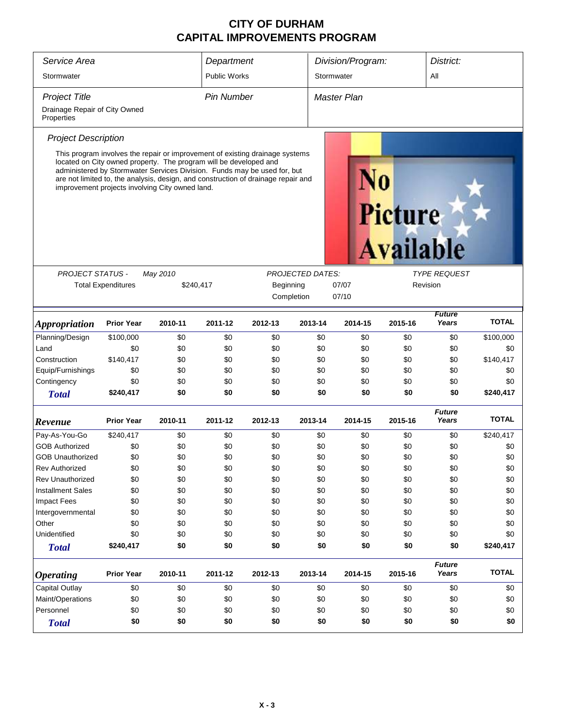| Service Area                                |                                                                                                                      |           | Department          |                                                                                                                                                                                                                                               |                         | Division/Program: |         | District:              |              |  |  |
|---------------------------------------------|----------------------------------------------------------------------------------------------------------------------|-----------|---------------------|-----------------------------------------------------------------------------------------------------------------------------------------------------------------------------------------------------------------------------------------------|-------------------------|-------------------|---------|------------------------|--------------|--|--|
| Stormwater                                  |                                                                                                                      |           | <b>Public Works</b> |                                                                                                                                                                                                                                               |                         | Stormwater        |         | All                    |              |  |  |
| <b>Project Title</b>                        |                                                                                                                      |           | <b>Pin Number</b>   |                                                                                                                                                                                                                                               |                         | Master Plan       |         |                        |              |  |  |
| Drainage Repair of City Owned<br>Properties |                                                                                                                      |           |                     |                                                                                                                                                                                                                                               |                         |                   |         |                        |              |  |  |
| <b>Project Description</b>                  |                                                                                                                      |           |                     |                                                                                                                                                                                                                                               |                         |                   |         |                        |              |  |  |
|                                             | located on City owned property. The program will be developed and<br>improvement projects involving City owned land. |           |                     | This program involves the repair or improvement of existing drainage systems<br>administered by Stormwater Services Division. Funds may be used for, but<br>are not limited to, the analysis, design, and construction of drainage repair and |                         |                   | Picture | <b>Available</b>       |              |  |  |
| <b>PROJECT STATUS -</b>                     |                                                                                                                      | May 2010  |                     |                                                                                                                                                                                                                                               | <b>PROJECTED DATES:</b> |                   |         | <b>TYPE REQUEST</b>    |              |  |  |
|                                             | <b>Total Expenditures</b>                                                                                            | \$240,417 |                     | Beginning<br>Completion                                                                                                                                                                                                                       |                         | 07/07<br>07/10    |         | Revision               |              |  |  |
| <b>Appropriation</b>                        | <b>Prior Year</b>                                                                                                    | 2010-11   | 2011-12             | 2012-13                                                                                                                                                                                                                                       | 2013-14                 | 2014-15           | 2015-16 | <b>Future</b><br>Years | <b>TOTAL</b> |  |  |
| Planning/Design                             | \$100,000                                                                                                            | \$0       | \$0                 | \$0                                                                                                                                                                                                                                           | \$0                     | \$0               | \$0     | \$0                    | \$100,000    |  |  |
| Land                                        | \$0                                                                                                                  | \$0       | \$0                 | \$0                                                                                                                                                                                                                                           | \$0                     | \$0               | \$0     | \$0                    | \$0          |  |  |
| Construction                                | \$140,417                                                                                                            | \$0       | \$0                 | \$0                                                                                                                                                                                                                                           | \$0                     | \$0               | \$0     | \$0                    | \$140,417    |  |  |
| Equip/Furnishings                           | \$0                                                                                                                  | \$0       | \$0                 | \$0                                                                                                                                                                                                                                           | \$0                     | \$0               | \$0     | \$0                    | \$0          |  |  |
| Contingency                                 | \$0                                                                                                                  | \$0       | \$0                 | \$0                                                                                                                                                                                                                                           | \$0                     | \$0               | \$0     | \$0                    | \$0          |  |  |
| <b>Total</b>                                | \$240,417                                                                                                            | \$0       | \$0                 | \$0                                                                                                                                                                                                                                           | \$0                     | \$0               | \$0     | \$0                    | \$240,417    |  |  |
| Revenue                                     | <b>Prior Year</b>                                                                                                    | 2010-11   | 2011-12             | 2012-13                                                                                                                                                                                                                                       | 2013-14                 | 2014-15           | 2015-16 | <b>Future</b><br>Years | <b>TOTAL</b> |  |  |
| Pay-As-You-Go                               | \$240,417                                                                                                            | \$0       | \$0                 | \$0                                                                                                                                                                                                                                           | \$0                     | \$0               | \$0     | \$0                    | \$240,417    |  |  |
| <b>GOB Authorized</b>                       | \$0                                                                                                                  | \$0       | \$0                 | \$0                                                                                                                                                                                                                                           | \$0                     | \$0               | \$0     | \$0                    | \$0          |  |  |
| <b>GOB Unauthorized</b>                     | \$0                                                                                                                  | \$0       | \$0                 | \$0                                                                                                                                                                                                                                           | \$0                     | \$0               | \$0     | \$0                    | \$0          |  |  |
| <b>Rev Authorized</b>                       | \$0                                                                                                                  | \$0       | \$0                 | \$0                                                                                                                                                                                                                                           | \$0                     | \$0               | \$0     | \$0                    | \$0          |  |  |
| <b>Rev Unauthorized</b>                     | \$0                                                                                                                  | \$0       | \$0                 | \$0                                                                                                                                                                                                                                           | \$0                     | \$0               | \$0     | \$0                    | \$0          |  |  |
| <b>Installment Sales</b>                    | \$0                                                                                                                  | \$0       | \$0                 | \$0                                                                                                                                                                                                                                           | \$0                     | \$0               | \$0     | \$0                    | \$0          |  |  |
| <b>Impact Fees</b>                          | \$0                                                                                                                  | \$0       | \$0                 | \$0                                                                                                                                                                                                                                           | \$0                     | \$0               | \$0     | \$0                    | \$0          |  |  |
| Intergovernmental                           | \$0                                                                                                                  | \$0       | \$0                 | \$0                                                                                                                                                                                                                                           | \$0                     | \$0               | \$0     | \$0                    | \$0          |  |  |
| Other                                       | \$0                                                                                                                  | \$0       | \$0                 | \$0                                                                                                                                                                                                                                           | \$0                     | \$0               | \$0     | \$0                    | \$0          |  |  |
| Unidentified                                | \$0                                                                                                                  | \$0       | \$0                 | \$0                                                                                                                                                                                                                                           | \$0                     | \$0               | \$0     | \$0                    | \$0          |  |  |
| <b>Total</b>                                | \$240,417                                                                                                            | \$0       | \$0                 | \$0                                                                                                                                                                                                                                           | \$0                     | \$0               | \$0     | \$0                    | \$240,417    |  |  |
| <b>Operating</b>                            | <b>Prior Year</b>                                                                                                    | 2010-11   | 2011-12             | 2012-13                                                                                                                                                                                                                                       | 2013-14                 | 2014-15           | 2015-16 | <b>Future</b><br>Years | <b>TOTAL</b> |  |  |
| Capital Outlay                              | \$0                                                                                                                  | \$0       | \$0                 | \$0                                                                                                                                                                                                                                           | \$0                     | \$0               | \$0     | \$0                    | \$0          |  |  |
| Maint/Operations                            | \$0                                                                                                                  | \$0       | \$0                 | \$0                                                                                                                                                                                                                                           | \$0                     | \$0               | \$0     | \$0                    | \$0          |  |  |
| Personnel                                   | \$0                                                                                                                  | \$0       | \$0                 | \$0                                                                                                                                                                                                                                           | \$0                     | \$0               | \$0     | \$0                    | \$0          |  |  |
| <b>Total</b>                                | \$0                                                                                                                  | \$0       | \$0                 | \$0                                                                                                                                                                                                                                           | \$0                     | \$0               | \$0     | \$0                    | \$0          |  |  |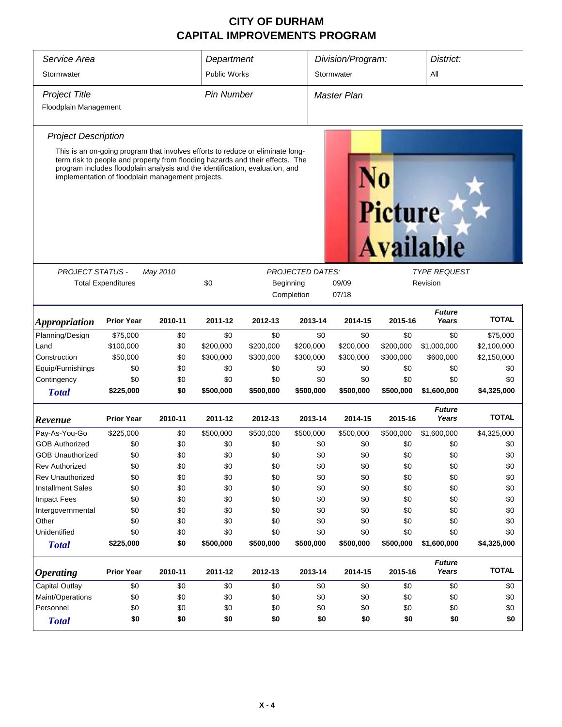| Service Area                |                                                                                                                                                                 |          | Department          |           |                         | Division/Program:  |                | District:              |              |  |
|-----------------------------|-----------------------------------------------------------------------------------------------------------------------------------------------------------------|----------|---------------------|-----------|-------------------------|--------------------|----------------|------------------------|--------------|--|
| Stormwater                  |                                                                                                                                                                 |          | <b>Public Works</b> |           |                         | Stormwater         | All            |                        |              |  |
| <b>Project Title</b>        |                                                                                                                                                                 |          | <b>Pin Number</b>   |           |                         | <b>Master Plan</b> |                |                        |              |  |
| Floodplain Management       |                                                                                                                                                                 |          |                     |           |                         |                    |                |                        |              |  |
| <b>Project Description</b>  |                                                                                                                                                                 |          |                     |           |                         |                    |                |                        |              |  |
|                             | This is an on-going program that involves efforts to reduce or eliminate long-<br>term risk to people and property from flooding hazards and their effects. The |          |                     |           |                         |                    |                |                        |              |  |
|                             | program includes floodplain analysis and the identification, evaluation, and<br>implementation of floodplain management projects.                               |          |                     |           |                         |                    |                |                        |              |  |
|                             |                                                                                                                                                                 |          |                     |           |                         |                    | <b>Picture</b> |                        |              |  |
|                             |                                                                                                                                                                 |          |                     |           |                         |                    |                | <b>Available</b>       |              |  |
| PROJECT STATUS -            |                                                                                                                                                                 | May 2010 |                     |           | <b>PROJECTED DATES:</b> |                    |                | <b>TYPE REQUEST</b>    |              |  |
|                             | <b>Total Expenditures</b>                                                                                                                                       |          | \$0                 |           | Beginning               | 09/09              |                | Revision               |              |  |
|                             |                                                                                                                                                                 |          | Completion          | 07/18     |                         |                    |                |                        |              |  |
| <i><b>Appropriation</b></i> | <b>Prior Year</b>                                                                                                                                               | 2010-11  | 2011-12             | 2012-13   | 2013-14                 | 2014-15            | 2015-16        | <b>Future</b><br>Years | <b>TOTAL</b> |  |
| Planning/Design             | \$75,000                                                                                                                                                        | \$0      | \$0                 | \$0       | \$0                     | \$0                | \$0            | \$0                    | \$75,000     |  |
| Land                        | \$100,000                                                                                                                                                       | \$0      | \$200,000           | \$200,000 | \$200,000               | \$200,000          | \$200,000      | \$1,000,000            | \$2,100,000  |  |
| Construction                | \$50,000                                                                                                                                                        | \$0      | \$300,000           | \$300,000 | \$300,000               | \$300,000          | \$300,000      | \$600,000              | \$2,150,000  |  |
| Equip/Furnishings           | \$0                                                                                                                                                             | \$0      | \$0                 | \$0       | \$0                     | \$0                | \$0            | \$0                    | \$0          |  |
| Contingency                 | \$0                                                                                                                                                             | \$0      | \$0                 | \$0       | \$0                     | \$0                | \$0            | \$0                    | \$0          |  |
| <b>Total</b>                | \$225,000                                                                                                                                                       | \$0      | \$500,000           | \$500,000 | \$500,000               | \$500,000          | \$500,000      | \$1,600,000            | \$4,325,000  |  |
| Revenue                     | <b>Prior Year</b>                                                                                                                                               | 2010-11  | 2011-12             | 2012-13   | 2013-14                 | 2014-15            | 2015-16        | <b>Future</b><br>Years | <b>TOTAL</b> |  |
| Pay-As-You-Go               | \$225,000                                                                                                                                                       | \$0      | \$500,000           | \$500,000 | \$500,000               | \$500,000          | \$500,000      | \$1,600,000            | \$4,325,000  |  |
| <b>GOB Authorized</b>       | \$0                                                                                                                                                             | \$0      | \$0                 | \$0       | \$0                     | \$0                | \$0            | \$0                    | \$0          |  |
| <b>GOB Unauthorized</b>     | \$0                                                                                                                                                             | \$0      | \$0                 | \$0       | \$0                     | \$0                | \$0            | \$0                    | \$0          |  |
| <b>Rev Authorized</b>       | \$0                                                                                                                                                             | \$0      | \$0                 | \$0       | \$0                     | \$0                | \$0            | \$0                    | \$0          |  |
| <b>Rev Unauthorized</b>     | \$0                                                                                                                                                             | \$0      | \$0                 | \$0       | \$0                     | \$0                | \$0            | \$0                    | \$0          |  |
| <b>Installment Sales</b>    | \$0                                                                                                                                                             | \$0      | \$0                 | \$0       | \$0                     | \$0                | \$0            | \$0                    | \$0          |  |
| Impact Fees                 | \$0                                                                                                                                                             | \$0      | \$0                 | \$0       | \$0                     | \$0                | \$0            | \$0                    | \$0          |  |
| Intergovernmental           | \$0                                                                                                                                                             | \$0      | \$0                 | \$0       | \$0                     | \$0                | \$0            | \$0                    | \$0          |  |
| Other                       | \$0                                                                                                                                                             | \$0      | \$0                 | \$0       | \$0                     | \$0                | \$0            | \$0                    | \$0          |  |
| Unidentified                | \$0                                                                                                                                                             | \$0      | \$0                 | \$0       | \$0                     | \$0                | \$0            | \$0                    | \$0          |  |
| <b>Total</b>                | \$225,000                                                                                                                                                       | \$0      | \$500,000           | \$500,000 | \$500,000               | \$500,000          | \$500,000      | \$1,600,000            | \$4,325,000  |  |
| <b>Operating</b>            | <b>Prior Year</b>                                                                                                                                               | 2010-11  | 2011-12             | 2012-13   | 2013-14                 | 2014-15            | 2015-16        | <b>Future</b><br>Years | <b>TOTAL</b> |  |
| Capital Outlay              | \$0                                                                                                                                                             | \$0      | \$0                 | \$0       | \$0                     | \$0                | \$0            | \$0                    | \$0          |  |
| Maint/Operations            | \$0                                                                                                                                                             | \$0      | \$0                 | \$0       | \$0                     | \$0                | \$0            | \$0                    | \$0          |  |
| Personnel                   | \$0                                                                                                                                                             | \$0      | \$0                 | \$0       | \$0                     | \$0                | \$0            | \$0                    | \$0          |  |
| <b>Total</b>                | \$0                                                                                                                                                             | \$0      | \$0                 | \$0       | \$0                     | \$0                | \$0            | \$0                    | \$0          |  |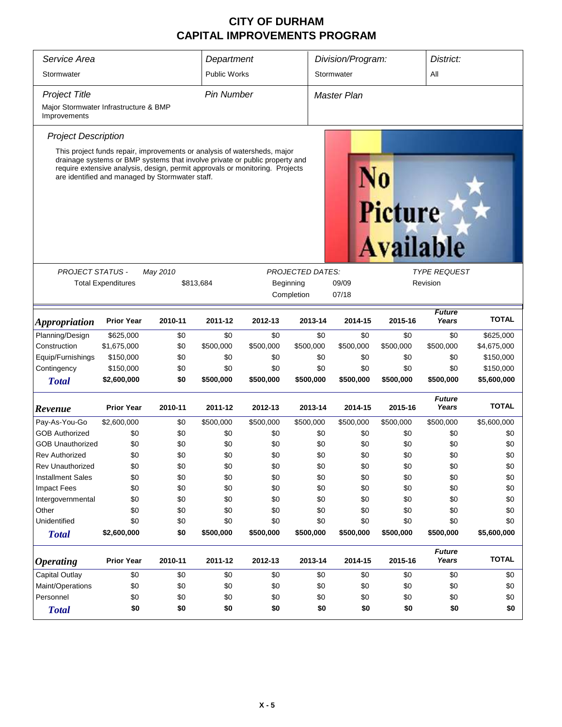| Service Area<br>Stormwater                                                    | Department<br><b>Public Works</b> |                                                                                                                                                                                                                                                                                            |                  | Division/Program:<br>Stormwater  |                         | District:<br>All |                                    |                        |              |
|-------------------------------------------------------------------------------|-----------------------------------|--------------------------------------------------------------------------------------------------------------------------------------------------------------------------------------------------------------------------------------------------------------------------------------------|------------------|----------------------------------|-------------------------|------------------|------------------------------------|------------------------|--------------|
| <b>Project Title</b><br>Major Stormwater Infrastructure & BMP<br>Improvements |                                   |                                                                                                                                                                                                                                                                                            |                  | <b>Pin Number</b><br>Master Plan |                         |                  |                                    |                        |              |
| <b>Project Description</b>                                                    |                                   |                                                                                                                                                                                                                                                                                            |                  |                                  |                         |                  |                                    |                        |              |
|                                                                               |                                   | This project funds repair, improvements or analysis of watersheds, major<br>drainage systems or BMP systems that involve private or public property and<br>require extensive analysis, design, permit approvals or monitoring. Projects<br>are identified and managed by Stormwater staff. |                  |                                  |                         |                  | <b>Picture</b><br><b>Available</b> |                        |              |
| <b>PROJECT STATUS -</b>                                                       |                                   | May 2010                                                                                                                                                                                                                                                                                   |                  |                                  | <b>PROJECTED DATES:</b> |                  |                                    | <b>TYPE REQUEST</b>    |              |
|                                                                               | <b>Total Expenditures</b>         | \$813,684                                                                                                                                                                                                                                                                                  |                  |                                  | Beginning               | 09/09            |                                    | Revision               |              |
|                                                                               |                                   |                                                                                                                                                                                                                                                                                            |                  |                                  | Completion              | 07/18            |                                    |                        |              |
| <i><b>Appropriation</b></i>                                                   | <b>Prior Year</b>                 | 2010-11                                                                                                                                                                                                                                                                                    | 2011-12          | 2012-13                          | 2013-14                 | 2014-15          | 2015-16                            | <b>Future</b><br>Years | <b>TOTAL</b> |
| Planning/Design                                                               | \$625,000                         | \$0                                                                                                                                                                                                                                                                                        | \$0              | \$0                              | \$0                     | \$0              | \$0                                | \$0                    | \$625,000    |
| Construction                                                                  | \$1,675,000                       | \$0                                                                                                                                                                                                                                                                                        | \$500,000        | \$500,000                        | \$500,000               | \$500,000        | \$500,000                          | \$500,000              | \$4,675,000  |
| Equip/Furnishings                                                             | \$150,000                         | \$0                                                                                                                                                                                                                                                                                        | \$0              | \$0                              | \$0                     | \$0              | \$0                                | \$0                    | \$150,000    |
| Contingency                                                                   | \$150,000                         | \$0                                                                                                                                                                                                                                                                                        | \$0              | \$0                              | \$0                     | \$0              | \$0                                | \$0                    | \$150,000    |
| <b>Total</b>                                                                  | \$2,600,000                       | \$0                                                                                                                                                                                                                                                                                        | \$500,000        | \$500,000                        | \$500,000               | \$500,000        | \$500,000                          | \$500,000              | \$5,600,000  |
| Revenue                                                                       | <b>Prior Year</b>                 | 2010-11                                                                                                                                                                                                                                                                                    | 2011-12          | 2012-13                          | 2013-14                 | 2014-15          | 2015-16                            | <b>Future</b><br>Years | <b>TOTAL</b> |
| Pay-As-You-Go                                                                 | \$2,600,000                       | \$0                                                                                                                                                                                                                                                                                        | \$500,000        | \$500,000                        | \$500,000               | \$500,000        | \$500,000                          | \$500,000              | \$5,600,000  |
| <b>GOB Authorized</b>                                                         | \$0                               | \$0                                                                                                                                                                                                                                                                                        | \$0              | \$0                              | \$0                     | \$0              | \$0                                | \$0                    | \$0          |
| <b>GOB Unauthorized</b>                                                       | \$0                               | \$0                                                                                                                                                                                                                                                                                        | \$0              | \$0                              | \$0                     | \$0              | \$0                                | \$0                    | \$0          |
| <b>Rev Authorized</b>                                                         | \$0                               | \$0                                                                                                                                                                                                                                                                                        | \$0              | \$0                              | \$0                     | \$0              | \$0                                | \$0                    | \$0          |
| Rev Unauthorized                                                              | \$0                               | \$0                                                                                                                                                                                                                                                                                        | \$0              | \$0                              | \$0                     | \$0              | \$0                                | \$0                    | \$0          |
| <b>Installment Sales</b>                                                      | \$0                               | \$0                                                                                                                                                                                                                                                                                        | \$0              | \$0                              | \$0                     | \$0              | \$0                                | \$0                    | \$0          |
| Impact Fees                                                                   | \$0                               | \$0                                                                                                                                                                                                                                                                                        | \$0              | \$0                              | \$0                     | \$0              | \$0                                | \$0                    | \$0          |
| Intergovernmental                                                             | \$0                               | \$0                                                                                                                                                                                                                                                                                        | \$0              | \$0                              | \$0                     | \$0              | \$0                                | \$0                    | \$0          |
| Other                                                                         | \$0                               | \$0                                                                                                                                                                                                                                                                                        | \$0              | \$0                              | \$0                     | \$0              | \$0                                | \$0                    | \$0          |
| Unidentified                                                                  | \$0                               | \$0                                                                                                                                                                                                                                                                                        | \$0<br>\$500,000 | \$0                              | \$0                     | \$0              | \$0                                | \$0                    | \$0          |
| <b>Total</b>                                                                  | \$2,600,000                       | \$0                                                                                                                                                                                                                                                                                        |                  | \$500,000                        | \$500,000               | \$500,000        | \$500,000                          | \$500,000              | \$5,600,000  |
| <b>Operating</b>                                                              | <b>Prior Year</b>                 | 2010-11                                                                                                                                                                                                                                                                                    | 2011-12          | 2012-13                          | 2013-14                 | 2014-15          | 2015-16                            | <b>Future</b><br>Years | <b>TOTAL</b> |
| <b>Capital Outlay</b>                                                         | \$0                               | \$0                                                                                                                                                                                                                                                                                        | \$0              | \$0                              | \$0                     | \$0              | \$0                                | \$0                    | \$0          |
| Maint/Operations                                                              | \$0                               | \$0                                                                                                                                                                                                                                                                                        | \$0              | \$0                              | \$0                     | \$0              | \$0                                | \$0                    | \$0          |
| Personnel                                                                     | \$0                               | \$0                                                                                                                                                                                                                                                                                        | \$0              | \$0                              | \$0                     | \$0              | \$0                                | \$0                    | \$0          |
| <b>Total</b>                                                                  | \$0                               | \$0                                                                                                                                                                                                                                                                                        | \$0              | \$0                              | \$0                     | \$0              | \$0                                | \$0                    | \$0          |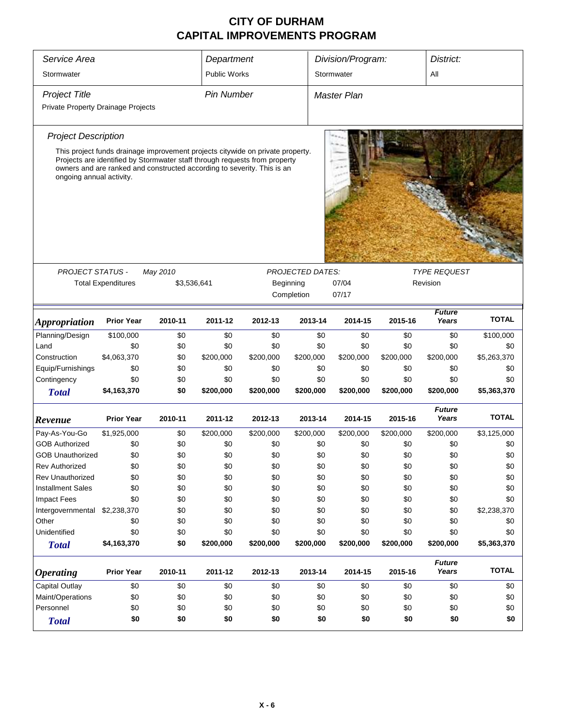| Service Area                       | Department                                                                                                                                            |             |                     | Division/Program: |                         | District:          |           |                        |              |  |
|------------------------------------|-------------------------------------------------------------------------------------------------------------------------------------------------------|-------------|---------------------|-------------------|-------------------------|--------------------|-----------|------------------------|--------------|--|
| Stormwater                         |                                                                                                                                                       |             | <b>Public Works</b> |                   |                         | Stormwater         |           | All                    |              |  |
|                                    |                                                                                                                                                       |             |                     |                   |                         |                    |           |                        |              |  |
| <b>Project Title</b>               |                                                                                                                                                       |             | <b>Pin Number</b>   |                   |                         | <b>Master Plan</b> |           |                        |              |  |
| Private Property Drainage Projects |                                                                                                                                                       |             |                     |                   |                         |                    |           |                        |              |  |
| <b>Project Description</b>         |                                                                                                                                                       |             |                     |                   |                         |                    |           |                        |              |  |
|                                    | This project funds drainage improvement projects citywide on private property.                                                                        |             |                     |                   |                         |                    |           |                        |              |  |
| ongoing annual activity.           | Projects are identified by Stormwater staff through requests from property<br>owners and are ranked and constructed according to severity. This is an |             |                     |                   |                         |                    |           |                        |              |  |
|                                    |                                                                                                                                                       |             |                     |                   |                         |                    |           |                        |              |  |
| <b>PROJECT STATUS -</b>            |                                                                                                                                                       | May 2010    |                     |                   | <b>PROJECTED DATES:</b> |                    |           | <b>TYPE REQUEST</b>    |              |  |
|                                    | <b>Total Expenditures</b>                                                                                                                             | \$3,536,641 |                     |                   | Beginning               | 07/04              |           | Revision               |              |  |
|                                    |                                                                                                                                                       |             |                     |                   | Completion              | 07/17              |           |                        |              |  |
| <i><b>Appropriation</b></i>        | <b>Prior Year</b>                                                                                                                                     | 2010-11     | 2011-12             | 2012-13           | 2013-14                 | 2014-15            | 2015-16   | <b>Future</b><br>Years | <b>TOTAL</b> |  |
| Planning/Design                    | \$100,000                                                                                                                                             | \$0         | \$0                 | \$0               | \$0                     | \$0                | \$0       | \$0                    | \$100,000    |  |
| Land                               | \$0                                                                                                                                                   | \$0         | \$0                 | \$0               | \$0                     | \$0                | \$0       | \$0                    | \$0          |  |
| Construction                       | \$4,063,370                                                                                                                                           | \$0         | \$200,000           | \$200,000         | \$200,000               | \$200,000          | \$200,000 | \$200,000              | \$5,263,370  |  |
| Equip/Furnishings                  | \$0                                                                                                                                                   | \$0         | \$0                 | \$0               | \$0                     | \$0                | \$0       | \$0                    | \$0          |  |
| Contingency                        | \$0                                                                                                                                                   | \$0         | \$0                 | \$0               | \$0                     | \$0                | \$0       | \$0                    | \$0          |  |
| <b>Total</b>                       | \$4,163,370                                                                                                                                           | \$0         | \$200,000           | \$200,000         | \$200,000               | \$200,000          | \$200,000 | \$200,000              | \$5,363,370  |  |
| Revenue                            | <b>Prior Year</b>                                                                                                                                     | 2010-11     | 2011-12             | 2012-13           | 2013-14                 | 2014-15            | 2015-16   | <b>Future</b><br>Years | <b>TOTAL</b> |  |
| Pay-As-You-Go                      | \$1,925,000                                                                                                                                           | \$0         | \$200,000           | \$200,000         | \$200,000               | \$200,000          | \$200,000 | \$200,000              | \$3,125,000  |  |
| <b>GOB Authorized</b>              | \$0                                                                                                                                                   | \$0         | \$0                 | \$0               | \$0                     | \$0                | \$0       | \$0                    | \$0          |  |
| <b>GOB Unauthorized</b>            | \$0                                                                                                                                                   | \$0         | \$0                 | \$0               | \$0                     | \$0                | \$0       | \$0                    | \$0          |  |
| <b>Rev Authorized</b>              | \$0                                                                                                                                                   | \$0         | \$0                 | \$0               | \$0                     | \$0                | \$0       | \$0                    | \$0          |  |
| Rev Unauthorized                   | \$0                                                                                                                                                   | \$0         | \$0                 | \$0               | \$0                     | \$0                | \$0       | \$0                    | \$0          |  |
| <b>Installment Sales</b>           | \$0                                                                                                                                                   | \$0         | \$0                 | \$0               | \$0                     | \$0                | \$0       | \$0                    | \$0          |  |
| <b>Impact Fees</b>                 | \$0                                                                                                                                                   | \$0         | \$0                 | \$0               | \$0                     | \$0                | \$0       | \$0                    | \$0          |  |
| Intergovernmental                  | \$2,238,370                                                                                                                                           | \$0         | \$0                 | \$0               | \$0                     | \$0                | \$0       | \$0                    | \$2,238,370  |  |
| Other                              | \$0                                                                                                                                                   | \$0         | \$0                 | \$0               | \$0                     | \$0                | \$0       | \$0                    | \$0          |  |
| Unidentified                       | \$0                                                                                                                                                   | \$0         | \$0                 | \$0               | \$0                     | \$0                | \$0       | \$0                    | \$0          |  |
| <b>Total</b>                       | \$4,163,370                                                                                                                                           | \$0         | \$200,000           | \$200,000         | \$200,000               | \$200,000          | \$200,000 | \$200,000              | \$5,363,370  |  |
| <b>Operating</b>                   | <b>Prior Year</b>                                                                                                                                     | 2010-11     | 2011-12             | 2012-13           | 2013-14                 | 2014-15            | 2015-16   | <b>Future</b><br>Years | <b>TOTAL</b> |  |
| <b>Capital Outlay</b>              | \$0                                                                                                                                                   | \$0         | \$0                 | \$0               | \$0                     | \$0                | \$0       | \$0                    | \$0          |  |
| Maint/Operations                   | \$0                                                                                                                                                   | \$0         | \$0                 | \$0               | \$0                     | \$0                | \$0       | \$0                    | \$0          |  |
| Personnel                          | \$0                                                                                                                                                   | \$0         | \$0                 | \$0               | \$0                     | \$0                | \$0       | \$0                    | \$0          |  |
| <b>Total</b>                       | \$0                                                                                                                                                   | \$0         | \$0                 | \$0               | \$0                     | \$0                | \$0       | \$0                    | \$0          |  |